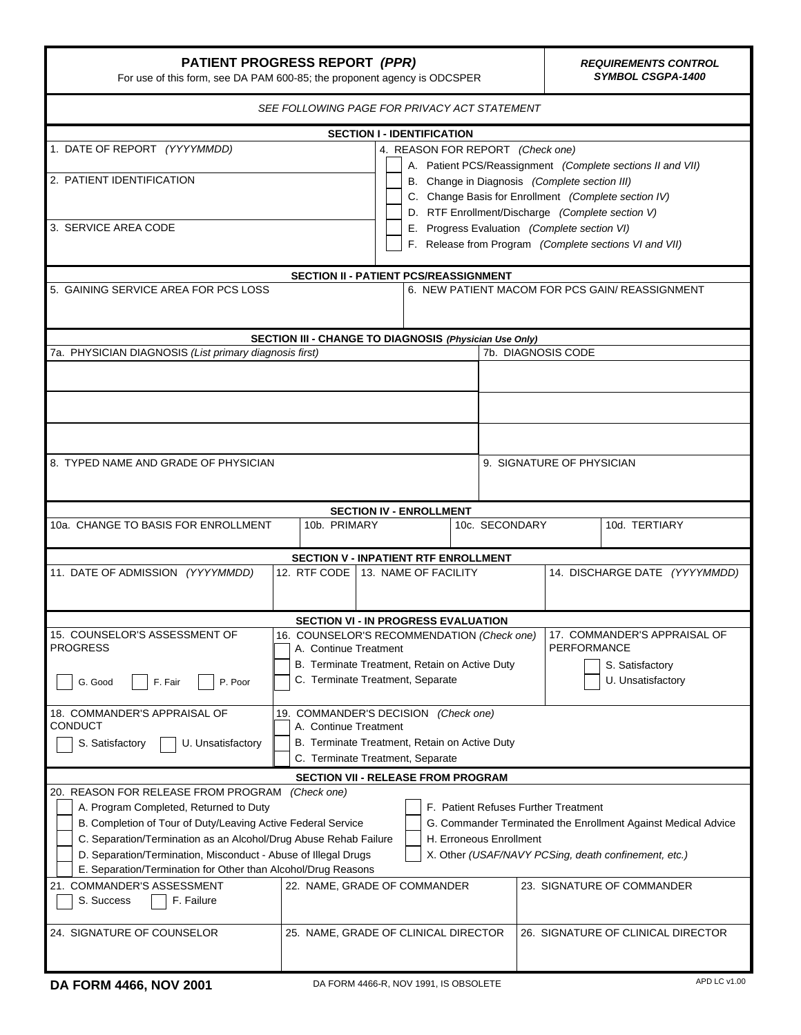| <b>PATIENT PROGRESS REPORT (PPR)</b><br>For use of this form, see DA PAM 600-85; the proponent agency is ODCSPER                                                                                                                                                                                                                                                                                                                                                                                                                                                |                                                                                                                                                                                       |                                |                                                                                                                                                 |                                              | <b>REQUIREMENTS CONTROL</b><br>SYMBOL CSGPA-1400       |  |  |
|-----------------------------------------------------------------------------------------------------------------------------------------------------------------------------------------------------------------------------------------------------------------------------------------------------------------------------------------------------------------------------------------------------------------------------------------------------------------------------------------------------------------------------------------------------------------|---------------------------------------------------------------------------------------------------------------------------------------------------------------------------------------|--------------------------------|-------------------------------------------------------------------------------------------------------------------------------------------------|----------------------------------------------|--------------------------------------------------------|--|--|
| SEE FOLLOWING PAGE FOR PRIVACY ACT STATEMENT                                                                                                                                                                                                                                                                                                                                                                                                                                                                                                                    |                                                                                                                                                                                       |                                |                                                                                                                                                 |                                              |                                                        |  |  |
| <b>SECTION I - IDENTIFICATION</b>                                                                                                                                                                                                                                                                                                                                                                                                                                                                                                                               |                                                                                                                                                                                       |                                |                                                                                                                                                 |                                              |                                                        |  |  |
| 1. DATE OF REPORT (YYYYMMDD)<br>2. PATIENT IDENTIFICATION                                                                                                                                                                                                                                                                                                                                                                                                                                                                                                       |                                                                                                                                                                                       |                                | 4. REASON FOR REPORT (Check one)<br>A. Patient PCS/Reassignment (Complete sections II and VII)<br>B. Change in Diagnosis (Complete section III) |                                              |                                                        |  |  |
|                                                                                                                                                                                                                                                                                                                                                                                                                                                                                                                                                                 | C. Change Basis for Enrollment (Complete section IV)<br>D. RTF Enrollment/Discharge (Complete section V)                                                                              |                                |                                                                                                                                                 |                                              |                                                        |  |  |
| 3. SERVICE AREA CODE                                                                                                                                                                                                                                                                                                                                                                                                                                                                                                                                            |                                                                                                                                                                                       |                                |                                                                                                                                                 | E. Progress Evaluation (Complete section VI) | F. Release from Program (Complete sections VI and VII) |  |  |
| <b>SECTION II - PATIENT PCS/REASSIGNMENT</b>                                                                                                                                                                                                                                                                                                                                                                                                                                                                                                                    |                                                                                                                                                                                       |                                |                                                                                                                                                 |                                              |                                                        |  |  |
| 5. GAINING SERVICE AREA FOR PCS LOSS<br>6. NEW PATIENT MACOM FOR PCS GAIN/ REASSIGNMENT                                                                                                                                                                                                                                                                                                                                                                                                                                                                         |                                                                                                                                                                                       |                                |                                                                                                                                                 |                                              |                                                        |  |  |
| SECTION III - CHANGE TO DIAGNOSIS (Physician Use Only)<br>7b. DIAGNOSIS CODE<br>7a. PHYSICIAN DIAGNOSIS (List primary diagnosis first)                                                                                                                                                                                                                                                                                                                                                                                                                          |                                                                                                                                                                                       |                                |                                                                                                                                                 |                                              |                                                        |  |  |
|                                                                                                                                                                                                                                                                                                                                                                                                                                                                                                                                                                 |                                                                                                                                                                                       |                                |                                                                                                                                                 |                                              |                                                        |  |  |
| 8. TYPED NAME AND GRADE OF PHYSICIAN                                                                                                                                                                                                                                                                                                                                                                                                                                                                                                                            |                                                                                                                                                                                       |                                |                                                                                                                                                 | 9. SIGNATURE OF PHYSICIAN                    |                                                        |  |  |
|                                                                                                                                                                                                                                                                                                                                                                                                                                                                                                                                                                 |                                                                                                                                                                                       | <b>SECTION IV - ENROLLMENT</b> |                                                                                                                                                 |                                              |                                                        |  |  |
| 10a. CHANGE TO BASIS FOR ENROLLMENT                                                                                                                                                                                                                                                                                                                                                                                                                                                                                                                             | 10b. PRIMARY                                                                                                                                                                          |                                | 10c. SECONDARY                                                                                                                                  |                                              | 10d. TERTIARY                                          |  |  |
| <b>SECTION V - INPATIENT RTF ENROLLMENT</b>                                                                                                                                                                                                                                                                                                                                                                                                                                                                                                                     |                                                                                                                                                                                       |                                |                                                                                                                                                 |                                              |                                                        |  |  |
| 11. DATE OF ADMISSION (YYYYMMDD)                                                                                                                                                                                                                                                                                                                                                                                                                                                                                                                                | 12. RTF CODE 13. NAME OF FACILITY                                                                                                                                                     |                                |                                                                                                                                                 |                                              | 14. DISCHARGE DATE (YYYYMMDD)                          |  |  |
|                                                                                                                                                                                                                                                                                                                                                                                                                                                                                                                                                                 | <b>SECTION VI - IN PROGRESS EVALUATION</b>                                                                                                                                            |                                |                                                                                                                                                 |                                              |                                                        |  |  |
| 15. COUNSELOR'S ASSESSMENT OF<br><b>PROGRESS</b>                                                                                                                                                                                                                                                                                                                                                                                                                                                                                                                | 16. COUNSELOR'S RECOMMENDATION (Check one)   17. COMMANDER'S APPRAISAL OF<br>PERFORMANCE<br>A. Continue Treatment<br>B. Terminate Treatment, Retain on Active Duty<br>S. Satisfactory |                                |                                                                                                                                                 |                                              |                                                        |  |  |
| P. Poor<br>G. Good<br>F. Fair                                                                                                                                                                                                                                                                                                                                                                                                                                                                                                                                   | C. Terminate Treatment, Separate<br>U. Unsatisfactory                                                                                                                                 |                                |                                                                                                                                                 |                                              |                                                        |  |  |
| 18. COMMANDER'S APPRAISAL OF<br>CONDUCT<br>S. Satisfactory<br>U. Unsatisfactory                                                                                                                                                                                                                                                                                                                                                                                                                                                                                 | 19. COMMANDER'S DECISION (Check one)<br>A. Continue Treatment<br>B. Terminate Treatment, Retain on Active Duty                                                                        |                                |                                                                                                                                                 |                                              |                                                        |  |  |
|                                                                                                                                                                                                                                                                                                                                                                                                                                                                                                                                                                 | C. Terminate Treatment, Separate                                                                                                                                                      |                                |                                                                                                                                                 |                                              |                                                        |  |  |
|                                                                                                                                                                                                                                                                                                                                                                                                                                                                                                                                                                 | <b>SECTION VII - RELEASE FROM PROGRAM</b>                                                                                                                                             |                                |                                                                                                                                                 |                                              |                                                        |  |  |
| 20. REASON FOR RELEASE FROM PROGRAM<br>(Check one)<br>A. Program Completed, Returned to Duty<br>F. Patient Refuses Further Treatment<br>B. Completion of Tour of Duty/Leaving Active Federal Service<br>G. Commander Terminated the Enrollment Against Medical Advice<br>C. Separation/Termination as an Alcohol/Drug Abuse Rehab Failure<br>H. Erroneous Enrollment<br>D. Separation/Termination, Misconduct - Abuse of Illegal Drugs<br>X. Other (USAF/NAVY PCSing, death confinement, etc.)<br>E. Separation/Termination for Other than Alcohol/Drug Reasons |                                                                                                                                                                                       |                                |                                                                                                                                                 |                                              |                                                        |  |  |
| 21. COMMANDER'S ASSESSMENT<br>F. Failure<br>S. Success                                                                                                                                                                                                                                                                                                                                                                                                                                                                                                          | 22. NAME, GRADE OF COMMANDER                                                                                                                                                          |                                |                                                                                                                                                 |                                              | 23. SIGNATURE OF COMMANDER                             |  |  |
| 24. SIGNATURE OF COUNSELOR                                                                                                                                                                                                                                                                                                                                                                                                                                                                                                                                      | 25. NAME, GRADE OF CLINICAL DIRECTOR                                                                                                                                                  |                                |                                                                                                                                                 |                                              | 26. SIGNATURE OF CLINICAL DIRECTOR                     |  |  |